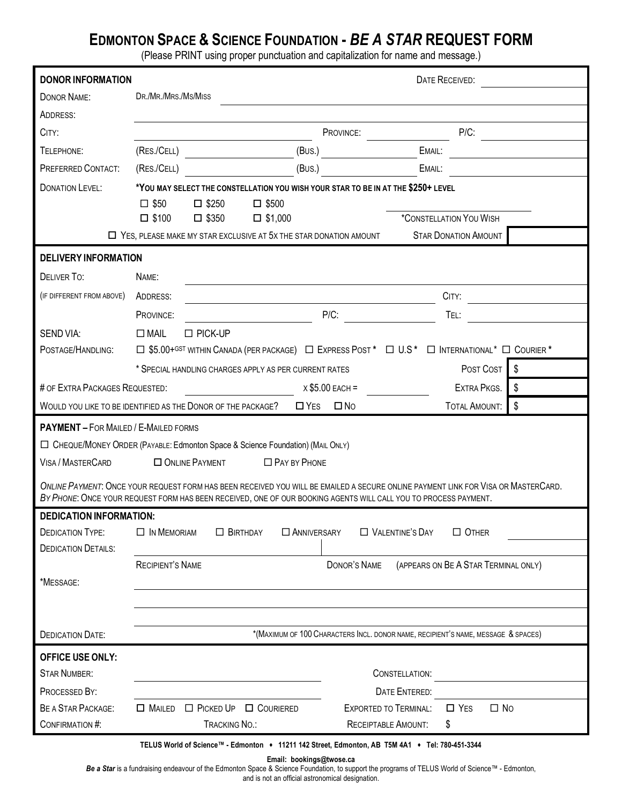## **EDMONTON SPACE & SCIENCE FOUNDATION -** *BE A STAR* **REQUEST FORM**

(Please PRINT using proper punctuation and capitalization for name and message.)

| <b>DONOR INFORMATION</b>                                                                                                                                                                                                                             | <b>DATE RECEIVED:</b>                                                                                                                                                       |                                            |              |
|------------------------------------------------------------------------------------------------------------------------------------------------------------------------------------------------------------------------------------------------------|-----------------------------------------------------------------------------------------------------------------------------------------------------------------------------|--------------------------------------------|--------------|
| <b>DONOR NAME:</b>                                                                                                                                                                                                                                   | DR./MR./MRS./Ms/Miss                                                                                                                                                        |                                            |              |
| ADDRESS:                                                                                                                                                                                                                                             |                                                                                                                                                                             |                                            |              |
| CITY:                                                                                                                                                                                                                                                |                                                                                                                                                                             | PROVINCE:                                  | $P/C$ :      |
| TELEPHONE:                                                                                                                                                                                                                                           | (RES./CELL)                                                                                                                                                                 | (BUS.)<br>EMAIL:                           |              |
| <b>PREFERRED CONTACT:</b>                                                                                                                                                                                                                            | (RES./CELL)<br>(BUS.)                                                                                                                                                       | EMAIL:                                     |              |
| <b>DONATION LEVEL:</b>                                                                                                                                                                                                                               | *YOU MAY SELECT THE CONSTELLATION YOU WISH YOUR STAR TO BE IN AT THE \$250+ LEVEL                                                                                           |                                            |              |
|                                                                                                                                                                                                                                                      | $\square$ \$50<br>$\square$ \$250<br>$\square$ \$500                                                                                                                        |                                            |              |
|                                                                                                                                                                                                                                                      | $\square$ \$100<br>$\square$ \$350<br>$\Box$ \$1,000                                                                                                                        | *CONSTELLATION YOU WISH                    |              |
|                                                                                                                                                                                                                                                      | $\Box$ YES, PLEASE MAKE MY STAR EXCLUSIVE AT 5X THE STAR DONATION AMOUNT                                                                                                    | <b>STAR DONATION AMOUNT</b>                |              |
| <b>DELIVERY INFORMATION</b>                                                                                                                                                                                                                          |                                                                                                                                                                             |                                            |              |
| DELIVER TO:                                                                                                                                                                                                                                          | NAME:                                                                                                                                                                       |                                            |              |
| (IF DIFFERENT FROM ABOVE)                                                                                                                                                                                                                            | ADDRESS:                                                                                                                                                                    | CITY:                                      |              |
|                                                                                                                                                                                                                                                      | PROVINCE:                                                                                                                                                                   | $P/C$ :<br>TEL:                            |              |
| SEND VIA:                                                                                                                                                                                                                                            | $\square$ MAIL<br>$\square$ PICK-UP                                                                                                                                         |                                            |              |
| POSTAGE/HANDLING:                                                                                                                                                                                                                                    | □ \$5.00+GST WITHIN CANADA (PER PACKAGE) □ EXPRESS POST * □ U.S * □ INTERNATIONAL * □ COURIER *<br>\$<br>* SPECIAL HANDLING CHARGES APPLY AS PER CURRENT RATES<br>POST COST |                                            |              |
|                                                                                                                                                                                                                                                      |                                                                                                                                                                             |                                            |              |
| \$<br># OF EXTRA PACKAGES REQUESTED:<br>EXTRA PKGS.<br>$x $5.00$ EACH =                                                                                                                                                                              |                                                                                                                                                                             |                                            |              |
| \$<br>WOULD YOU LIKE TO BE IDENTIFIED AS THE DONOR OF THE PACKAGE?<br><b>TOTAL AMOUNT:</b><br>$\Box$ Yes<br>$\square$ No                                                                                                                             |                                                                                                                                                                             |                                            |              |
| <b>PAYMENT - FOR MAILED / E-MAILED FORMS</b>                                                                                                                                                                                                         |                                                                                                                                                                             |                                            |              |
| CHEQUE/MONEY ORDER (PAYABLE: Edmonton Space & Science Foundation) (MAIL ONLY)                                                                                                                                                                        |                                                                                                                                                                             |                                            |              |
| ONLINE PAYMENT<br><b>VISA / MASTERCARD</b><br><b>D</b> PAY BY PHONE                                                                                                                                                                                  |                                                                                                                                                                             |                                            |              |
| ONLINE PAYMENT: ONCE YOUR REQUEST FORM HAS BEEN RECEIVED YOU WILL BE EMAILED A SECURE ONLINE PAYMENT LINK FOR VISA OR MASTERCARD.<br>BY PHONE: ONCE YOUR REQUEST FORM HAS BEEN RECEIVED, ONE OF OUR BOOKING AGENTS WILL CALL YOU TO PROCESS PAYMENT. |                                                                                                                                                                             |                                            |              |
| <b>DEDICATION INFORMATION:</b>                                                                                                                                                                                                                       |                                                                                                                                                                             |                                            |              |
| <b>DEDICATION TYPE:</b>                                                                                                                                                                                                                              | $\Box$ In MEMORIAM<br>$\Box$ BIRTHDAY<br><b>CO ANNIVERSARY</b>                                                                                                              | $\Box$ VALENTINE'S DAY                     | $\Box$ OTHER |
| <b>DEDICATION DETAILS:</b>                                                                                                                                                                                                                           |                                                                                                                                                                             |                                            |              |
|                                                                                                                                                                                                                                                      | <b>RECIPIENT'S NAME</b><br>DONOR'S NAME<br>(APPEARS ON BE A STAR TERMINAL ONLY)                                                                                             |                                            |              |
| *MESSAGE:                                                                                                                                                                                                                                            |                                                                                                                                                                             |                                            |              |
|                                                                                                                                                                                                                                                      |                                                                                                                                                                             |                                            |              |
|                                                                                                                                                                                                                                                      |                                                                                                                                                                             |                                            |              |
| <b>DEDICATION DATE:</b>                                                                                                                                                                                                                              | *(MAXIMUM OF 100 CHARACTERS INCL. DONOR NAME, RECIPIENT'S NAME, MESSAGE & SPACES)                                                                                           |                                            |              |
| <b>OFFICE USE ONLY:</b>                                                                                                                                                                                                                              |                                                                                                                                                                             |                                            |              |
| <b>STAR NUMBER:</b>                                                                                                                                                                                                                                  |                                                                                                                                                                             | CONSTELLATION:                             |              |
| PROCESSED BY:                                                                                                                                                                                                                                        |                                                                                                                                                                             | DATE ENTERED:                              |              |
| BE A STAR PACKAGE:                                                                                                                                                                                                                                   | $\Box$ MAILED<br>$\Box$ PICKED UP $\Box$ COURIERED                                                                                                                          | <b>EXPORTED TO TERMINAL:</b><br>$\Box$ Yes | $\square$ No |
| CONFIRMATION #:                                                                                                                                                                                                                                      | TRACKING NO.:                                                                                                                                                               | RECEIPTABLE AMOUNT:<br>\$                  |              |

TELUS World of Science™ - Edmonton • 11211 142 Street, Edmonton, AB T5M 4A1 • Tel: 780-451-3344

**Email: bookings@twose.ca**

**Be a Star** is a fundraising endeavour of the Edmonton Space & Science Foundation, to support the programs of TELUS World of Science™ - Edmonton,

and is not an official astronomical designation.